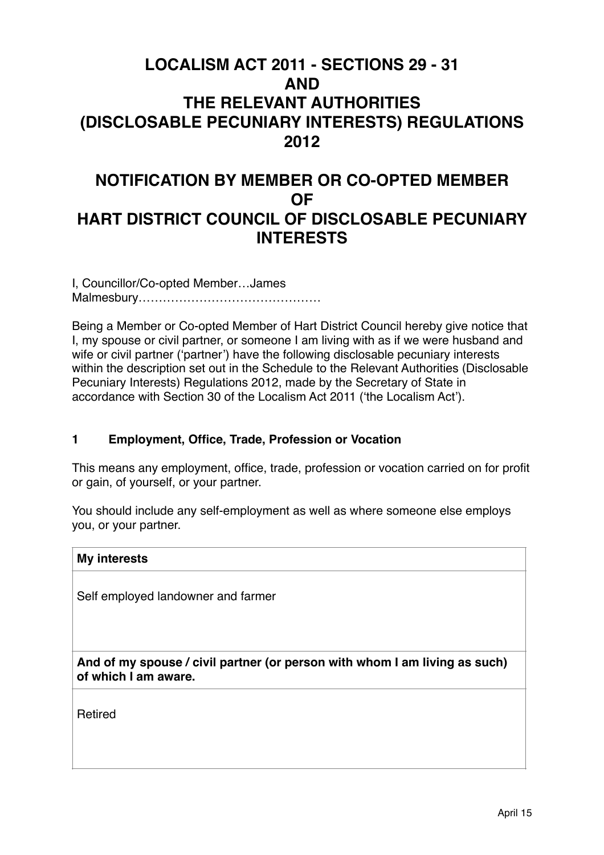# **LOCALISM ACT 2011 - SECTIONS 29 - 31 AND THE RELEVANT AUTHORITIES (DISCLOSABLE PECUNIARY INTERESTS) REGULATIONS 2012**

# **NOTIFICATION BY MEMBER OR CO-OPTED MEMBER OF HART DISTRICT COUNCIL OF DISCLOSABLE PECUNIARY INTERESTS**

I, Councillor/Co-opted Member…James Malmesbury………………………………………

Being a Member or Co-opted Member of Hart District Council hereby give notice that I, my spouse or civil partner, or someone I am living with as if we were husband and wife or civil partner ('partner') have the following disclosable pecuniary interests within the description set out in the Schedule to the Relevant Authorities (Disclosable Pecuniary Interests) Regulations 2012, made by the Secretary of State in accordance with Section 30 of the Localism Act 2011 ('the Localism Act').

## **1 Employment, Office, Trade, Profession or Vocation**

This means any employment, office, trade, profession or vocation carried on for profit or gain, of yourself, or your partner.

You should include any self-employment as well as where someone else employs you, or your partner.

| <b>My interests</b>                                                                                |  |
|----------------------------------------------------------------------------------------------------|--|
|                                                                                                    |  |
| Self employed landowner and farmer                                                                 |  |
|                                                                                                    |  |
|                                                                                                    |  |
| And of my spouse / civil partner (or person with whom I am living as such)<br>of which I am aware. |  |
|                                                                                                    |  |

Retired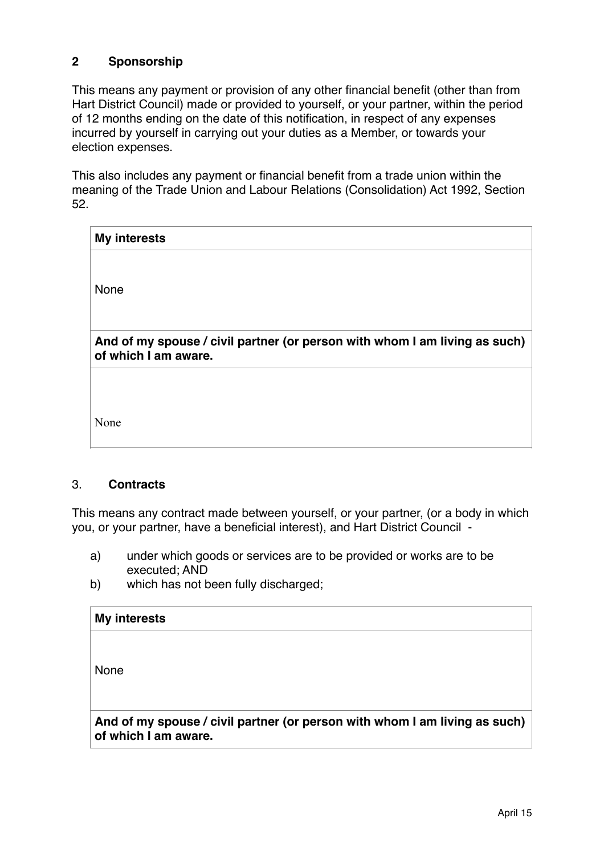## **2 Sponsorship**

This means any payment or provision of any other financial benefit (other than from Hart District Council) made or provided to yourself, or your partner, within the period of 12 months ending on the date of this notification, in respect of any expenses incurred by yourself in carrying out your duties as a Member, or towards your election expenses.

This also includes any payment or financial benefit from a trade union within the meaning of the Trade Union and Labour Relations (Consolidation) Act 1992, Section 52.

| <b>My interests</b>                                                                                |  |  |
|----------------------------------------------------------------------------------------------------|--|--|
| None                                                                                               |  |  |
| And of my spouse / civil partner (or person with whom I am living as such)<br>of which I am aware. |  |  |
|                                                                                                    |  |  |
| None                                                                                               |  |  |

## 3. **Contracts**

This means any contract made between yourself, or your partner, (or a body in which you, or your partner, have a beneficial interest), and Hart District Council -

- a) under which goods or services are to be provided or works are to be executed; AND
- b) which has not been fully discharged;

| <b>My interests</b>                                                                                |
|----------------------------------------------------------------------------------------------------|
|                                                                                                    |
| None                                                                                               |
|                                                                                                    |
| And of my spouse / civil partner (or person with whom I am living as such)<br>of which I am aware. |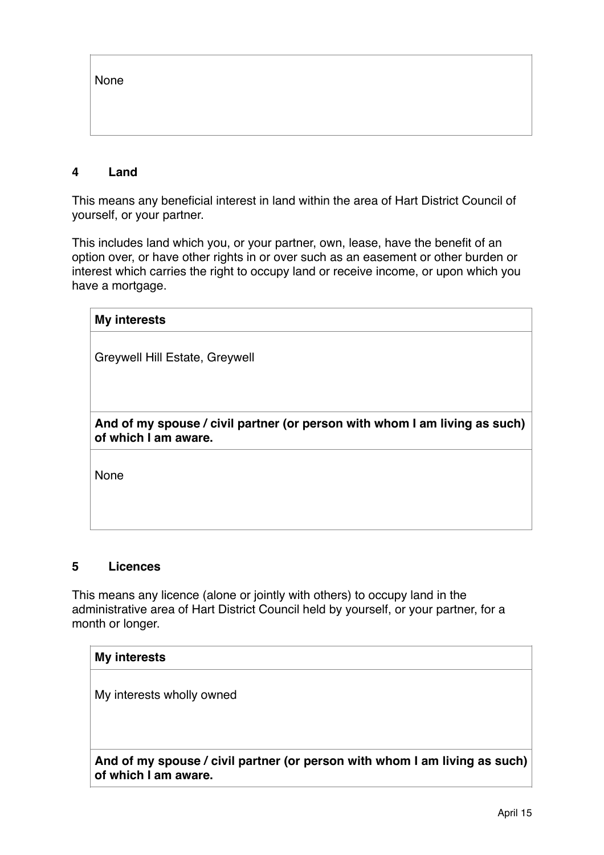None

## **4 Land**

This means any beneficial interest in land within the area of Hart District Council of yourself, or your partner.

This includes land which you, or your partner, own, lease, have the benefit of an option over, or have other rights in or over such as an easement or other burden or interest which carries the right to occupy land or receive income, or upon which you have a mortgage.

| <b>My interests</b>                                                                                |  |  |
|----------------------------------------------------------------------------------------------------|--|--|
| Greywell Hill Estate, Greywell                                                                     |  |  |
|                                                                                                    |  |  |
|                                                                                                    |  |  |
| And of my spouse / civil partner (or person with whom I am living as such)<br>of which I am aware. |  |  |
| None                                                                                               |  |  |
|                                                                                                    |  |  |
|                                                                                                    |  |  |

#### **5 Licences**

This means any licence (alone or jointly with others) to occupy land in the administrative area of Hart District Council held by yourself, or your partner, for a month or longer.

## **My interests**

My interests wholly owned

**And of my spouse / civil partner (or person with whom I am living as such) of which I am aware.**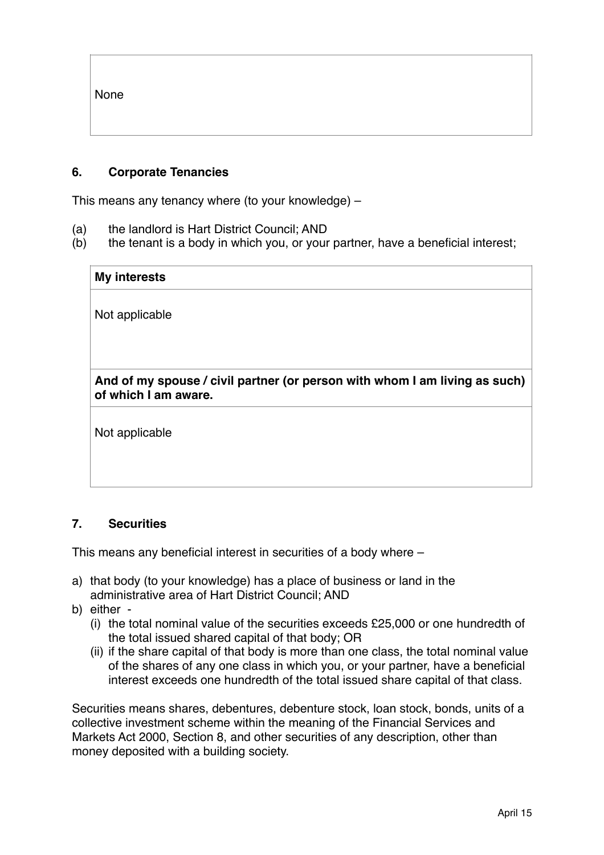None

## **6. Corporate Tenancies**

This means any tenancy where (to your knowledge) –

- (a) the landlord is Hart District Council; AND
- (b) the tenant is a body in which you, or your partner, have a beneficial interest;

| <b>My interests</b>                                                                                |  |
|----------------------------------------------------------------------------------------------------|--|
| Not applicable                                                                                     |  |
|                                                                                                    |  |
|                                                                                                    |  |
| And of my spouse / civil partner (or person with whom I am living as such)<br>of which I am aware. |  |
| Not annlicable                                                                                     |  |

Not applicable

## **7. Securities**

This means any beneficial interest in securities of a body where –

- a) that body (to your knowledge) has a place of business or land in the administrative area of Hart District Council; AND
- b) either
	- (i) the total nominal value of the securities exceeds £25,000 or one hundredth of the total issued shared capital of that body; OR
	- (ii) if the share capital of that body is more than one class, the total nominal value of the shares of any one class in which you, or your partner, have a beneficial interest exceeds one hundredth of the total issued share capital of that class.

Securities means shares, debentures, debenture stock, loan stock, bonds, units of a collective investment scheme within the meaning of the Financial Services and Markets Act 2000, Section 8, and other securities of any description, other than money deposited with a building society.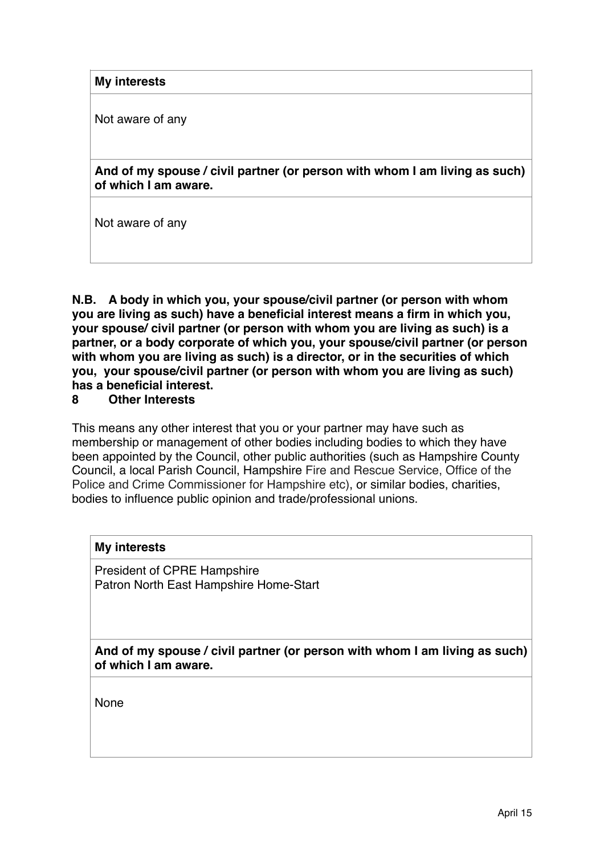**My interests**

Not aware of any

**And of my spouse / civil partner (or person with whom I am living as such) of which I am aware.**

Not aware of any

**N.B. A body in which you, your spouse/civil partner (or person with whom you are living as such) have a beneficial interest means a firm in which you, your spouse/ civil partner (or person with whom you are living as such) is a partner, or a body corporate of which you, your spouse/civil partner (or person with whom you are living as such) is a director, or in the securities of which you, your spouse/civil partner (or person with whom you are living as such) has a beneficial interest.**

## **8 Other Interests**

This means any other interest that you or your partner may have such as membership or management of other bodies including bodies to which they have been appointed by the Council, other public authorities (such as Hampshire County Council, a local Parish Council, Hampshire Fire and Rescue Service, Office of the Police and Crime Commissioner for Hampshire etc), or similar bodies, charities, bodies to influence public opinion and trade/professional unions.

#### **My interests**

President of CPRE Hampshire Patron North East Hampshire Home-Start

**And of my spouse / civil partner (or person with whom I am living as such) of which I am aware.**

None